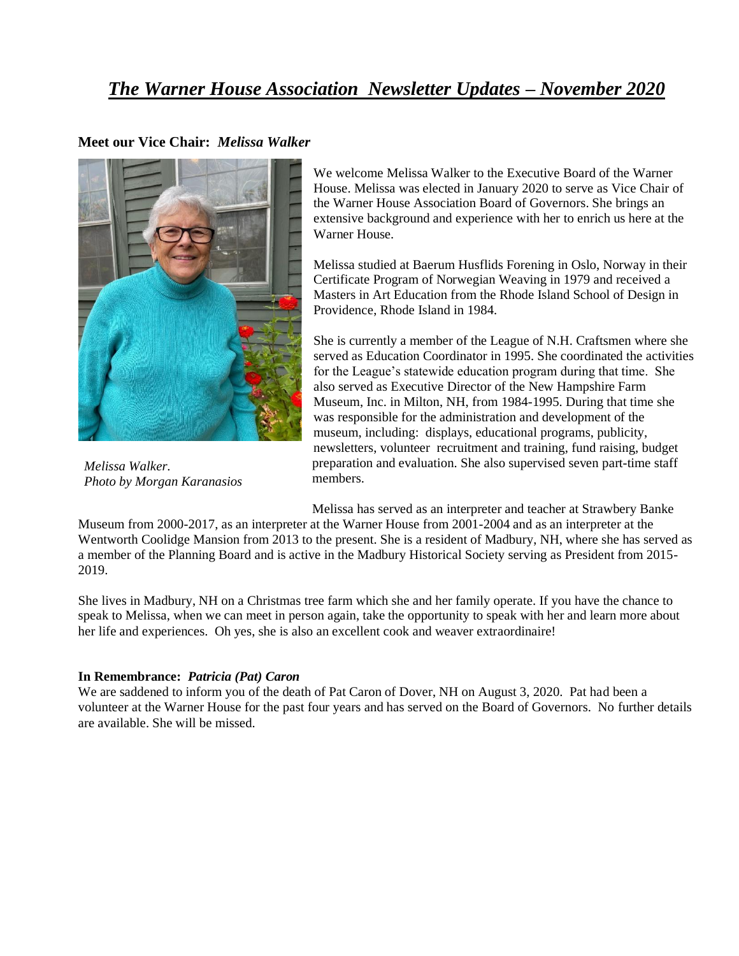## *The Warner House Association Newsletter Updates – November 2020*

## **Meet our Vice Chair:** *Melissa Walker*



*Melissa Walker. Photo by Morgan Karanasios*

We welcome Melissa Walker to the Executive Board of the Warner House. Melissa was elected in January 2020 to serve as Vice Chair of the Warner House Association Board of Governors. She brings an extensive background and experience with her to enrich us here at the Warner House.

Melissa studied at Baerum Husflids Forening in Oslo, Norway in their Certificate Program of Norwegian Weaving in 1979 and received a Masters in Art Education from the Rhode Island School of Design in Providence, Rhode Island in 1984.

She is currently a member of the League of N.H. Craftsmen where she served as Education Coordinator in 1995. She coordinated the activities for the League's statewide education program during that time. She also served as Executive Director of the New Hampshire Farm Museum, Inc. in Milton, NH, from 1984-1995. During that time she was responsible for the administration and development of the museum, including: displays, educational programs, publicity, newsletters, volunteer recruitment and training, fund raising, budget preparation and evaluation. She also supervised seven part-time staff members.

Melissa has served as an interpreter and teacher at Strawbery Banke

Museum from 2000-2017, as an interpreter at the Warner House from 2001-2004 and as an interpreter at the Wentworth Coolidge Mansion from 2013 to the present. She is a resident of Madbury, NH, where she has served as a member of the Planning Board and is active in the Madbury Historical Society serving as President from 2015- 2019.

She lives in Madbury, NH on a Christmas tree farm which she and her family operate. If you have the chance to speak to Melissa, when we can meet in person again, take the opportunity to speak with her and learn more about her life and experiences. Oh yes, she is also an excellent cook and weaver extraordinaire!

## **In Remembrance:** *Patricia (Pat) Caron*

We are saddened to inform you of the death of Pat Caron of Dover, NH on August 3, 2020. Pat had been a volunteer at the Warner House for the past four years and has served on the Board of Governors. No further details are available. She will be missed.